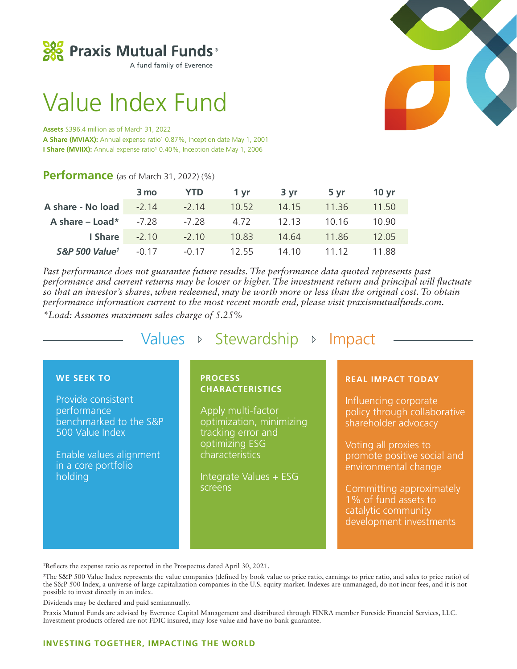

A fund family of Everence

# Value Index Fund

#### **Assets** \$396.4 million as of March 31, 2022

A Share (MVIAX): Annual expense ratio<sup>1</sup> 0.87%, Inception date May 1, 2001 **I Share (MVIIX):** Annual expense ratio<sup>1</sup> 0.40%, Inception date May 1, 2006

# **Performance** (as of March 31, 2022) (%)

|                            | 3 mo  | <b>YTD</b> | 1 vr  | 3 vr  | 5 yr    | 10 vr |
|----------------------------|-------|------------|-------|-------|---------|-------|
| A share - No load -2.14    |       | $-2.14$    | 10.52 | 14.15 | - 11.36 | 11.50 |
| A share $-$ Load*          | -7.28 | -7.28      | 4.72  | 12.13 | - 10.16 | 10.90 |
| $I$ Share $-2.10$          |       | $-2.10$    | 10.83 | 14.64 | 11.86   | 12.05 |
| S&P 500 Value <sup>1</sup> | -0.17 | $-0.17$    | 12.55 | 14 10 | 11 12   | 11 88 |

*Past performance does not guarantee future results. The performance data quoted represents past performance and current returns may be lower or higher. The investment return and principal will fluctuate so that an investor's shares, when redeemed, may be worth more or less than the original cost. To obtain performance information current to the most recent month end, please visit praxismutualfunds.com.* 

*\*Load: Assumes maximum sales charge of 5.25%*

Values  $\triangleright$  Stewardship  $\triangleright$  Impact

# **WE SEEK TO**

Provide consistent performance benchmarked to the S&P 500 Value Index

Enable values alignment in a core portfolio holding

### **PROCESS CHARACTERISTICS**

Apply multi-factor optimization, minimizing tracking error and optimizing ESG characteristics

Integrate Values + ESG screens

#### **REAL IMPACT TODAY**

Influencing corporate policy through collaborative shareholder advocacy

Voting all proxies to promote positive social and environmental change

Committing approximately 1% of fund assets to catalytic community development investments

1 Reflects the expense ratio as reported in the Prospectus dated April 30, 2021.

2The S&P 500 Value Index represents the value companies (defined by book value to price ratio, earnings to price ratio, and sales to price ratio) of the S&P 500 Index, a universe of large capitalization companies in the U.S. equity market. Indexes are unmanaged, do not incur fees, and it is not possible to invest directly in an index.

Dividends may be declared and paid semiannually.

Praxis Mutual Funds are advised by Everence Capital Management and distributed through FINRA member Foreside Financial Services, LLC. Investment products offered are not FDIC insured, may lose value and have no bank guarantee.